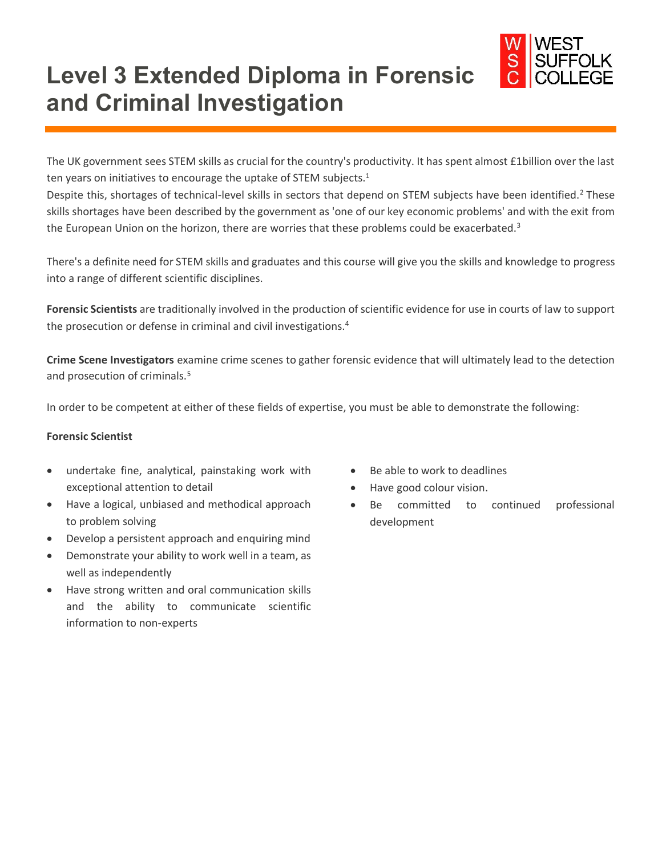

# **Level 3 Extended Diploma in Forensic and Criminal Investigation**

The UK government sees STEM skills as crucial for the country's productivity. It has spent almost £1billion over the last ten years on initiatives to encourage the uptake of STEM subjects.<sup>1</sup>

Despite this, shortages of technical-level skills in sectors that depend on STEM subjects have been identified.<sup>2</sup> These skills shortages have been described by the government as 'one of our key economic problems' and with the exit from the European Union on the horizon, there are worries that these problems could be exacerbated.<sup>3</sup>

There's a definite need for STEM skills and graduates and this course will give you the skills and knowledge to progress into a range of different scientific disciplines.

**Forensic Scientists** are traditionally involved in the production of scientific evidence for use in courts of law to support the prosecution or defense in criminal and civil investigations.<sup>4</sup>

**Crime Scene Investigators** examine crime scenes to gather forensic evidence that will ultimately lead to the detection and prosecution of criminals.<sup>5</sup>

In order to be competent at either of these fields of expertise, you must be able to demonstrate the following:

#### **Forensic Scientist**

- undertake fine, analytical, painstaking work with exceptional attention to detail
- Have a logical, unbiased and methodical approach to problem solving
- Develop a persistent approach and enquiring mind
- Demonstrate your ability to work well in a team, as well as independently
- Have strong written and oral communication skills and the ability to communicate scientific information to non-experts
- Be able to work to deadlines
- Have good colour vision.
- Be committed to continued professional development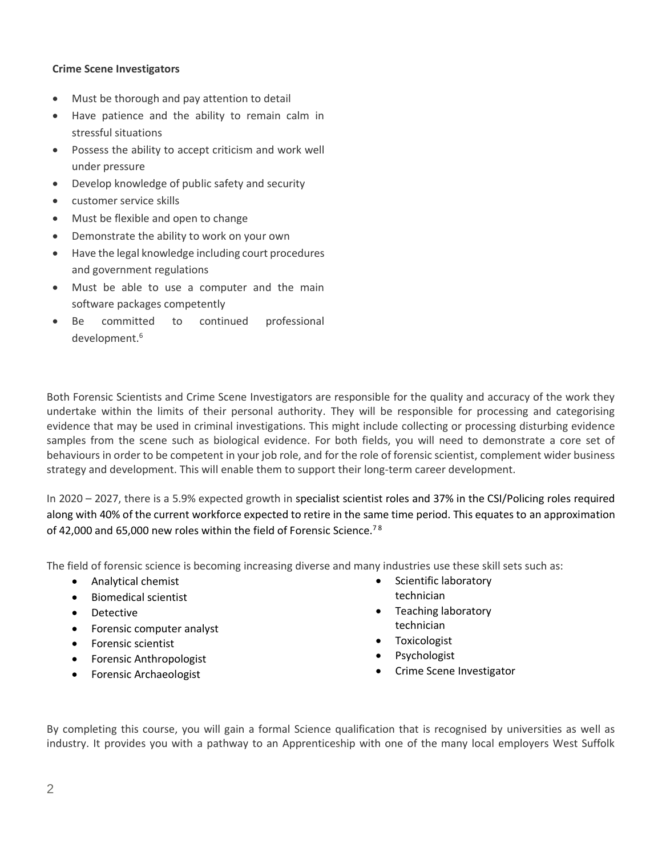### **Crime Scene Investigators**

- Must be thorough and pay attention to detail
- Have patience and the ability to remain calm in stressful situations
- Possess the ability to accept criticism and work well under pressure
- Develop knowledge of public safety and security
- customer service skills
- Must be flexible and open to change
- Demonstrate the ability to work on your own
- Have the legal knowledge including court procedures and government regulations
- Must be able to use a computer and the main software packages competently
- Be committed to continued professional development. 6

Both Forensic Scientists and Crime Scene Investigators are responsible for the quality and accuracy of the work they undertake within the limits of their personal authority. They will be responsible for processing and categorising evidence that may be used in criminal investigations. This might include collecting or processing disturbing evidence samples from the scene such as biological evidence. For both fields, you will need to demonstrate a core set of behaviours in order to be competent in your job role, and for the role of forensic scientist, complement wider business strategy and development. This will enable them to support their long-term career development.

In 2020 – 2027, there is a 5.9% expected growth in specialist scientist roles and 37% in the CSI/Policing roles required along with 40% of the current workforce expected to retire in the same time period. This equates to an approximation of 42,000 and 65,000 new roles within the field of Forensic Science.<sup>78</sup>

The field of forensic science is becoming increasing diverse and many industries use these skill sets such as:

- Analytical chemist
- Biomedical scientist
- Detective
- Forensic computer analyst
- Forensic scientist
- Forensic Anthropologist
- Forensic Archaeologist
- Scientific laboratory technician
- Teaching laboratory technician
- Toxicologist
- **Psychologist**
- Crime Scene Investigator

By completing this course, you will gain a formal Science qualification that is recognised by universities as well as industry. It provides you with a pathway to an Apprenticeship with one of the many local employers West Suffolk